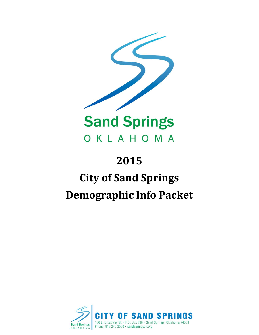

## **2015 City of Sand Springs Demographic Info Packet**

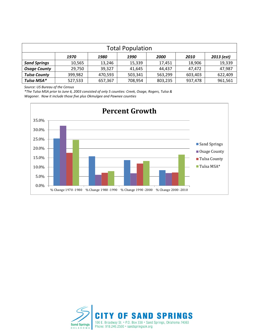| <b>Total Population</b> |                                                    |         |         |         |         |         |  |  |  |  |  |
|-------------------------|----------------------------------------------------|---------|---------|---------|---------|---------|--|--|--|--|--|
|                         | 2013 (est)<br>1970<br>1990<br>2000<br>2010<br>1980 |         |         |         |         |         |  |  |  |  |  |
| <b>Sand Springs</b>     | 10,565                                             | 13,246  | 15,339  | 17,451  | 18,906  | 19,339  |  |  |  |  |  |
| <b>Osage County</b>     | 29,750                                             | 39,327  | 41,645  | 44,437  | 47,472  | 47,987  |  |  |  |  |  |
| <b>Tulsa County</b>     | 399,982                                            | 470,593 | 503,341 | 563,299 | 603,403 | 622,409 |  |  |  |  |  |
| Tulsa MSA*              | 527,533                                            | 657,367 | 708,954 | 803,235 | 937,478 | 961,561 |  |  |  |  |  |

*Source: US Bureau of the Census*

*\*The Tulsa MSA prior to June 6, 2003 consisted of only 5 counties: Creek, Osage, Rogers, Tulsa & Wagoner. Now it include those five plus Okmulgee and Pawnee counties*



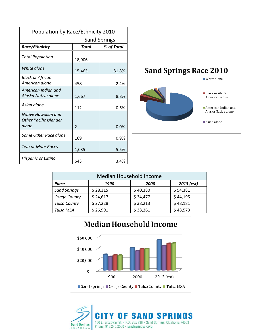| Population by Race/Ethnicity 2010                             |                |            |  |  |  |  |  |  |
|---------------------------------------------------------------|----------------|------------|--|--|--|--|--|--|
| <b>Sand Springs</b>                                           |                |            |  |  |  |  |  |  |
| Race/Ethnicity                                                | <b>Total</b>   | % of Total |  |  |  |  |  |  |
| <b>Total Population</b>                                       | 18,906         |            |  |  |  |  |  |  |
| White alone                                                   | 15,463         | 81.8%      |  |  |  |  |  |  |
| <b>Black or African</b><br>American alone                     | 458            | 2.4%       |  |  |  |  |  |  |
| American Indian and<br>Alaska Native alone                    | 1,667          | 8.8%       |  |  |  |  |  |  |
| Asian alone                                                   | 112            | 0.6%       |  |  |  |  |  |  |
| Native Hawaiian and<br><b>Other Pacific Islander</b><br>alone | $\overline{2}$ | 0.0%       |  |  |  |  |  |  |
| Some Other Race alone                                         | 169            | 0.9%       |  |  |  |  |  |  |
| Two or More Races                                             | 1,035          | 5.5%       |  |  |  |  |  |  |
| Hispanic or Latino                                            | 643            | 3.4%       |  |  |  |  |  |  |



| Median Household Income             |          |          |          |  |  |  |  |  |  |
|-------------------------------------|----------|----------|----------|--|--|--|--|--|--|
| 2013 (est)<br>Place<br>1990<br>2000 |          |          |          |  |  |  |  |  |  |
| <b>Sand Springs</b>                 | \$28,315 | \$40,380 | \$54,381 |  |  |  |  |  |  |
| <b>Osage County</b>                 | \$24,617 | \$34,477 | \$44,195 |  |  |  |  |  |  |
| <b>Tulsa County</b>                 | \$27,228 | \$38,213 | \$48,181 |  |  |  |  |  |  |
| Tulsa MSA                           | \$26,991 | \$38,261 | \$48,573 |  |  |  |  |  |  |



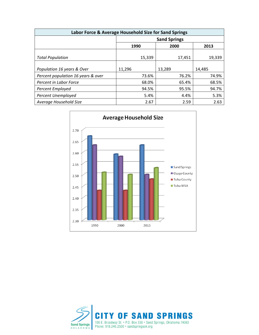| Labor Force & Average Household Size for Sand Springs |                     |        |        |  |  |  |  |  |  |
|-------------------------------------------------------|---------------------|--------|--------|--|--|--|--|--|--|
|                                                       | <b>Sand Springs</b> |        |        |  |  |  |  |  |  |
|                                                       | 1990                | 2000   | 2013   |  |  |  |  |  |  |
| <b>Total Population</b>                               | 15,339              | 17,451 | 19,339 |  |  |  |  |  |  |
| Population 16 years & Over                            | 11,296              | 13,289 | 14,485 |  |  |  |  |  |  |
| Percent population 16 years & over                    | 73.6%               | 76.2%  | 74.9%  |  |  |  |  |  |  |
| Percent in Labor Force                                | 68.0%               | 65.4%  | 68.5%  |  |  |  |  |  |  |
| <b>Percent Employed</b>                               | 94.5%               | 95.5%  | 94.7%  |  |  |  |  |  |  |
| Percent Unemployed                                    | 5.4%                | 4.4%   | 5.3%   |  |  |  |  |  |  |
| Average Household Size                                | 2.67                | 2.59   | 2.63   |  |  |  |  |  |  |



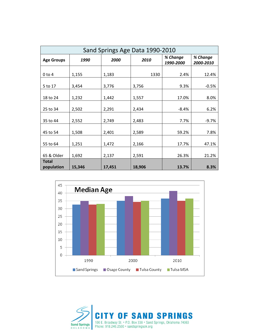| Sand Springs Age Data 1990-2010 |        |        |        |                       |                       |  |  |  |  |
|---------------------------------|--------|--------|--------|-----------------------|-----------------------|--|--|--|--|
| <b>Age Groups</b>               | 1990   | 2000   | 2010   | % Change<br>1990-2000 | % Change<br>2000-2010 |  |  |  |  |
| $0$ to $4$                      | 1,155  | 1,183  | 1330   | 2.4%                  | 12.4%                 |  |  |  |  |
| 5 to 17                         | 3,454  | 3,776  | 3,756  | 9.3%                  | $-0.5%$               |  |  |  |  |
| 18 to 24                        | 1,232  | 1,442  | 1,557  | 17.0%                 | 8.0%                  |  |  |  |  |
| 25 to 34                        | 2,502  | 2,291  | 2,434  | $-8.4%$               | 6.2%                  |  |  |  |  |
| 35 to 44                        | 2,552  | 2,749  | 2,483  | 7.7%                  | $-9.7%$               |  |  |  |  |
| 45 to 54                        | 1,508  | 2,401  | 2,589  | 59.2%                 | 7.8%                  |  |  |  |  |
| 55 to 64                        | 1,251  | 1,472  | 2,166  | 17.7%                 | 47.1%                 |  |  |  |  |
| 65 & Older                      | 1,692  | 2,137  | 2,591  | 26.3%                 | 21.2%                 |  |  |  |  |
| <b>Total</b><br>population      | 15,346 | 17,451 | 18,906 | 13.7%                 | 8.3%                  |  |  |  |  |